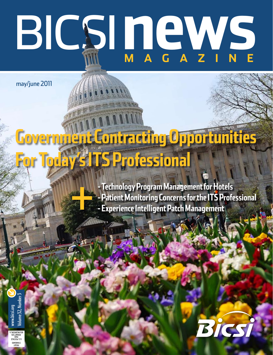# BICSI**news magazine**

may/june 2011

## **Government Contracting Opportunities For Today's ITS Professional**

**- Technology Program Management for Hotels - Patient Monitoring Concerns for the ITS Professional** +**- Experience Intelligent Patch Management**

Volume 32. Number 3 Volume 32, Number 3 ww.bicsi.org

k

PRSRT STANDARD U.S. POSTAGE PAID PERMIT 595 BOLINGBROOK, IL

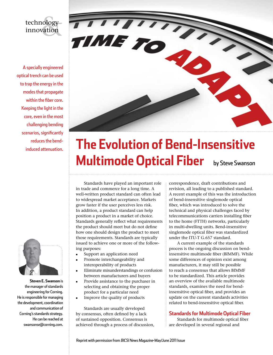#### technology innovation

A specially engineered optical trench can be used to trap the energy in the modes that propagate within the fiber core. Keeping the light in the core, even in the most challenging bending scenarios, significantly reduces the bendinduced attenuation.



**Steven E. Swanson** is the manager of standards engineering for Corning. He is responsible for managing the development, coordination and communication of Corning's standards strategy. He can be reached at swansonse@corning.com.



### **The Evolution of Bend-Insensitive Multimode Optical Fiber** by Steve Swanson

Standards have played an important role in trade and commerce for a long time. A well-written product standard can often lead to widespread market acceptance. Markets grow faster if the user perceives less risk. In addition, a product standard can help position a product in a market of choice. Standards generally reflect what requirements the product should meet but do not define how one should design the product to meet those requirements. Standards are typically issued to achieve one or more of the following purposes:

- **n** Support an application need
- Promote interchangeability and interoperability of products
- <sup>n</sup>Eliminate misunderstandings or confusion between manufacturers and buyers
- Provide assistance to the purchaser in selecting and obtaining the proper product for a particular need
- Improve the quality of products

Standards are usually developed by consensus, often defined by a lack of sustained opposition. Consensus is achieved through a process of discussion, correspondence, draft contributions and revision, all leading to a published standard. A recent example of this was the introduction of bend-insensitive singlemode optical fiber, which was introduced to solve the technical and physical challenges faced by telecommunications carriers installing fiber to the home (FTTH) networks, particularly in multi-dwelling units. Bend-insensitive singlemode optical fiber was standardized under the ITU-T G.657 standard.

A current example of the standards process is the ongoing discussion on bendinsensitive multimode fiber (BIMMF). While some differences of opinion exist among manufacturers, it may still be possible to reach a consensus that allows BIMMF to be standardized. This article provides an overview of the available multimode standards, examines the need for bendinsensitive optical fiber, and provides an update on the current standards activities related to bend-insensitive optical fiber.

#### **Standards for Multimode Optical Fiber**

Standards for multimode optical fiber are developed in several regional and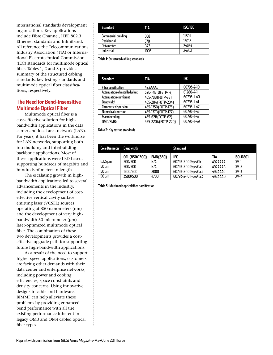international standards development organizations. Key applications include Fibre Channel, IEEE 802.3 Ethernet standards and Infiniband. All reference the Telecommunications Industry Association (TIA) or International Electrotechnical Commission (IEC) standards for multimode optical fiber. Tables 1, 2 and 3 provide a summary of the structured cabling standards, key testing standards and multimode optical fiber classifications, respectively.

#### **The Need for Bend-Insensitive Multimode Optical Fiber**

Multimode optical fiber is a cost-effective solution for highbandwidth applications in the data center and local area network (LAN). For years, it has been the workhorse for LAN networks, supporting both intrabuilding and interbuilding backbone applications. Most of these applications were LED-based, supporting hundreds of megabits and hundreds of meters in length.

The escalating growth in highbandwidth applications led to several advancements in the industry, including the development of costeffective vertical cavity surface emitting laser (VCSEL) sources operating at 850 nanometers (nm) and the development of very highbandwidth 50 micrometer  $(\mu m)$ laser-optimized multimode optical fiber. The combination of these two developments provides a costeffective upgrade path for supporting future high-bandwidth applications.

As a result of the need to support higher speed applications, customers are facing other demands with their data center and enterprise networks, including power and cooling efficiencies, space constraints and density concerns. Using innovative designs in cable and hardware, BIMMF can help alleviate these problems by providing enhanced bend performance with all the existing performance inherent in legacy OM3 and OM4 cabled optical fiber types.

| <b>Standard</b>     | ΤΙΑ  | <b>ISO/IEC</b> |
|---------------------|------|----------------|
| Commercial building | 568  | 11801          |
| Residential         | 570  | 15018          |
| Data center         | 942  | 24764          |
| Industrial          | 1005 | 24702          |
|                     |      |                |

**Table 1:** Structured cabling standards

| <b>Standard</b>                | TΙΔ                 | IΕO        |
|--------------------------------|---------------------|------------|
| <b>Fiber specification</b>     | 492AAAx             | 60793-2-10 |
| Attenuation of installed plant | 526-14B (OFSTP-14)  | 61280-4-1  |
| Attenuation coefficient        | 455-78B (FOTP-78)   | 60793-1-40 |
| <b>Bandwidth</b>               | 455-204 (FOTP-204)  | 60793-1-41 |
| <b>Chromatic dispersion</b>    | 455-175B (FOTP-175) | 60793-1-42 |
| Numerical aperture             | 455-177B (FOTP-177) | 60793-1-43 |
| Macrobending                   | 455-62B (FOTP-62)   | 60793-1-47 |
| DMD/EMBc                       | 455-220A (FOTP-220) | 60793-1-49 |

**Table 2:** Key testing standards

| Core Diameter Bandwidth   |                |          | Standard              |         |                  |
|---------------------------|----------------|----------|-----------------------|---------|------------------|
|                           | OFL (850/1300) | EMB(850) | iec                   | TIA     | <b>ISO-11801</b> |
| $62.5 \,\mathrm{\upmu m}$ | 200/500        | N/A      | 60793-2-10 Type A1b   | 492AAAA | OM-1             |
| $50 \mu m$                | 500/500        | N/A      | 60793-2-10 Type A1a.1 | 492AAAB | OM-2             |
| $50 \mu m$                | 1500/500       | 2000     | 60793-2-10 Type A1a.2 | 492AAAC | OM-3             |
| $50 \text{µm}$            | 3500/500       | 4700     | 60793-2-10 Type Ala.3 | 492AAAD | OM-4             |

**Table 3:** Multimode optical fiber classification